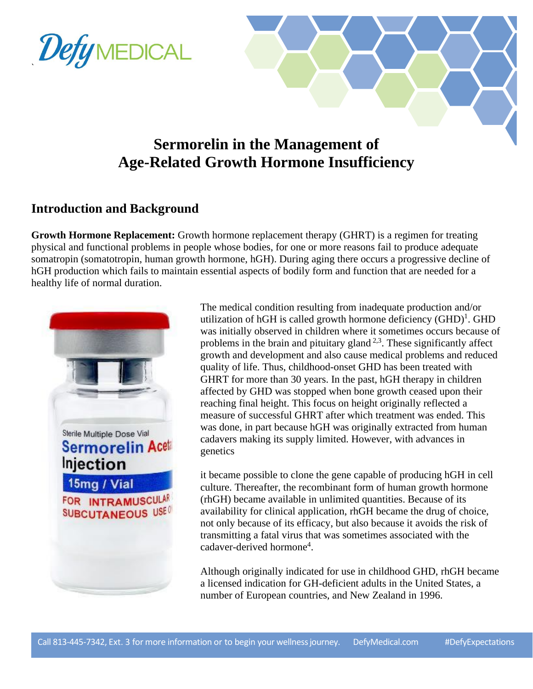



# **Sermorelin in the Management of Age-Related Growth Hormone Insufficiency**

### **Introduction and Background**

**Growth Hormone Replacement:** Growth hormone replacement therapy (GHRT) is a regimen for treating physical and functional problems in people whose bodies, for one or more reasons fail to produce adequate somatropin (somatotropin, human growth hormone, hGH). During aging there occurs a progressive decline of hGH production which fails to maintain essential aspects of bodily form and function that are needed for a healthy life of normal duration.



The medical condition resulting from inadequate production and/or utilization of hGH is called growth hormone deficiency  $(GHD)^1$ . GHD was initially observed in children where it sometimes occurs because of problems in the brain and pituitary gland  $2.3$ . These significantly affect growth and development and also cause medical problems and reduced quality of life. Thus, childhood-onset GHD has been treated with GHRT for more than 30 years. In the past, hGH therapy in children affected by GHD was stopped when bone growth ceased upon their reaching final height. This focus on height originally reflected a measure of successful GHRT after which treatment was ended. This was done, in part because hGH was originally extracted from human cadavers making its supply limited. However, with advances in genetics

it became possible to clone the gene capable of producing hGH in cell culture. Thereafter, the recombinant form of human growth hormone (rhGH) became available in unlimited quantities. Because of its availability for clinical application, rhGH became the drug of choice, not only because of its efficacy, but also because it avoids the risk of transmitting a fatal virus that was sometimes associated with the cadaver-derived hormone<sup>4</sup>.

Although originally indicated for use in childhood GHD, rhGH became a licensed indication for GH-deficient adults in the United States, a number of European countries, and New Zealand in 1996.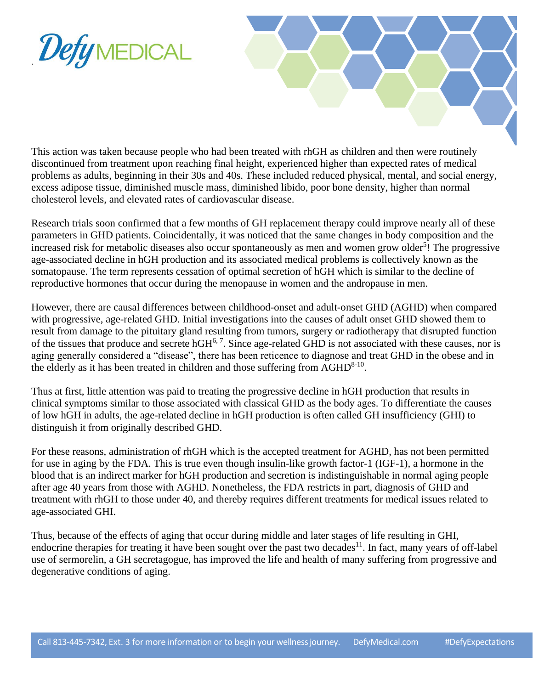



This action was taken because people who had been treated with rhGH as children and then were routinely discontinued from treatment upon reaching final height, experienced higher than expected rates of medical problems as adults, beginning in their 30s and 40s. These included reduced physical, mental, and social energy, excess adipose tissue, diminished muscle mass, diminished libido, poor bone density, higher than normal cholesterol levels, and elevated rates of cardiovascular disease.

Research trials soon confirmed that a few months of GH replacement therapy could improve nearly all of these parameters in GHD patients. Coincidentally, it was noticed that the same changes in body composition and the increased risk for metabolic diseases also occur spontaneously as men and women grow older<sup>5</sup>! The progressive age-associated decline in hGH production and its associated medical problems is collectively known as the somatopause. The term represents cessation of optimal secretion of hGH which is similar to the decline of reproductive hormones that occur during the menopause in women and the andropause in men.

However, there are causal differences between childhood-onset and adult-onset GHD (AGHD) when compared with progressive, age-related GHD. Initial investigations into the causes of adult onset GHD showed them to result from damage to the pituitary gland resulting from tumors, surgery or radiotherapy that disrupted function of the tissues that produce and secrete hGH<sup>6,7</sup>. Since age-related GHD is not associated with these causes, nor is aging generally considered a "disease", there has been reticence to diagnose and treat GHD in the obese and in the elderly as it has been treated in children and those suffering from  $AGHD^{8-10}$ .

Thus at first, little attention was paid to treating the progressive decline in hGH production that results in clinical symptoms similar to those associated with classical GHD as the body ages. To differentiate the causes of low hGH in adults, the age-related decline in hGH production is often called GH insufficiency (GHI) to distinguish it from originally described GHD.

For these reasons, administration of rhGH which is the accepted treatment for AGHD, has not been permitted for use in aging by the FDA. This is true even though insulin-like growth factor-1 (IGF-1), a hormone in the blood that is an indirect marker for hGH production and secretion is indistinguishable in normal aging people after age 40 years from those with AGHD. Nonetheless, the FDA restricts in part, diagnosis of GHD and treatment with rhGH to those under 40, and thereby requires different treatments for medical issues related to age-associated GHI.

Thus, because of the effects of aging that occur during middle and later stages of life resulting in GHI, endocrine therapies for treating it have been sought over the past two decades<sup>11</sup>. In fact, many years of off-label use of sermorelin, a GH secretagogue, has improved the life and health of many suffering from progressive and degenerative conditions of aging.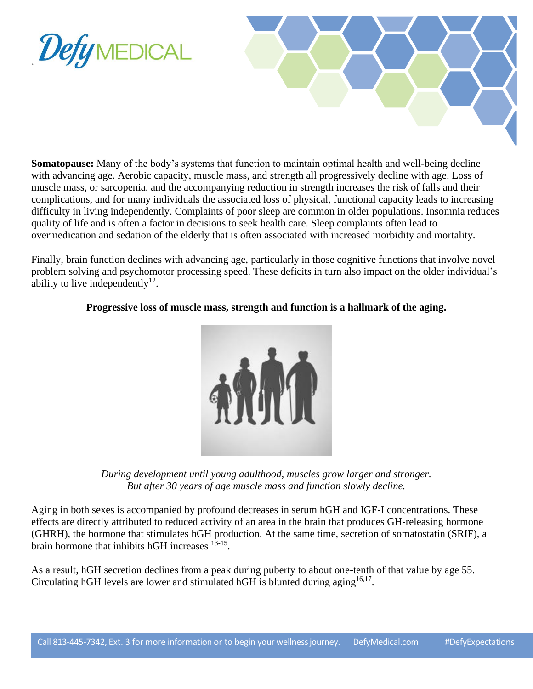



**Somatopause:** Many of the body's systems that function to maintain optimal health and well-being decline with advancing age. Aerobic capacity, muscle mass, and strength all progressively decline with age. Loss of muscle mass, or sarcopenia, and the accompanying reduction in strength increases the risk of falls and their complications, and for many individuals the associated loss of physical, functional capacity leads to increasing difficulty in living independently. Complaints of poor sleep are common in older populations. Insomnia reduces quality of life and is often a factor in decisions to seek health care. Sleep complaints often lead to overmedication and sedation of the elderly that is often associated with increased morbidity and mortality.

Finally, brain function declines with advancing age, particularly in those cognitive functions that involve novel problem solving and psychomotor processing speed. These deficits in turn also impact on the older individual's ability to live independently $12$ .

#### **Progressive loss of muscle mass, strength and function is a hallmark of the aging.**



*During development until young adulthood, muscles grow larger and stronger. But after 30 years of age muscle mass and function slowly decline.*

Aging in both sexes is accompanied by profound decreases in serum hGH and IGF-I concentrations. These effects are directly attributed to reduced activity of an area in the brain that produces GH-releasing hormone (GHRH), the hormone that stimulates hGH production. At the same time, secretion of somatostatin (SRIF), a brain hormone that inhibits hGH increases  $13-15$ .

As a result, hGH secretion declines from a peak during puberty to about one-tenth of that value by age 55. Circulating hGH levels are lower and stimulated hGH is blunted during aging  $16,17$ .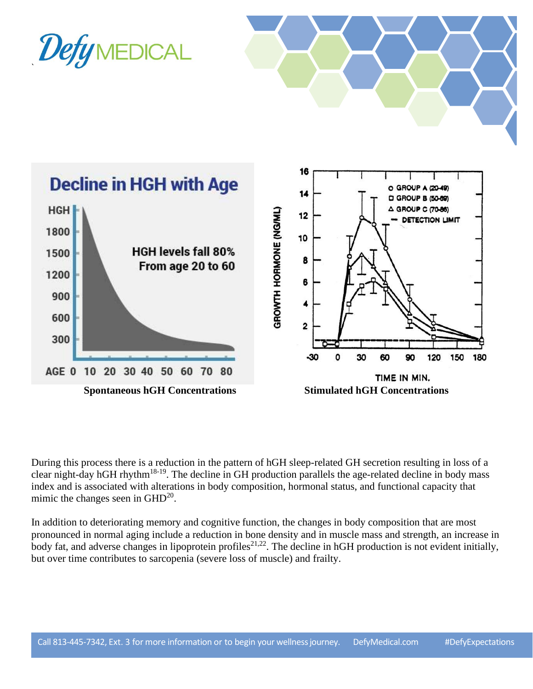

**Spontaneous hGH Concentrations Stimulated hGH Concentrations**

TIME IN MIN.

During this process there is a reduction in the pattern of hGH sleep-related GH secretion resulting in loss of a clear night-day hGH rhythm18-19. The decline in GH production parallels the age-related decline in body mass index and is associated with alterations in body composition, hormonal status, and functional capacity that mimic the changes seen in  $\text{GHD}^{20}$ .

In addition to deteriorating memory and cognitive function, the changes in body composition that are most pronounced in normal aging include a reduction in bone density and in muscle mass and strength, an increase in body fat, and adverse changes in lipoprotein profiles<sup>21,22</sup>. The decline in hGH production is not evident initially, but over time contributes to sarcopenia (severe loss of muscle) and frailty.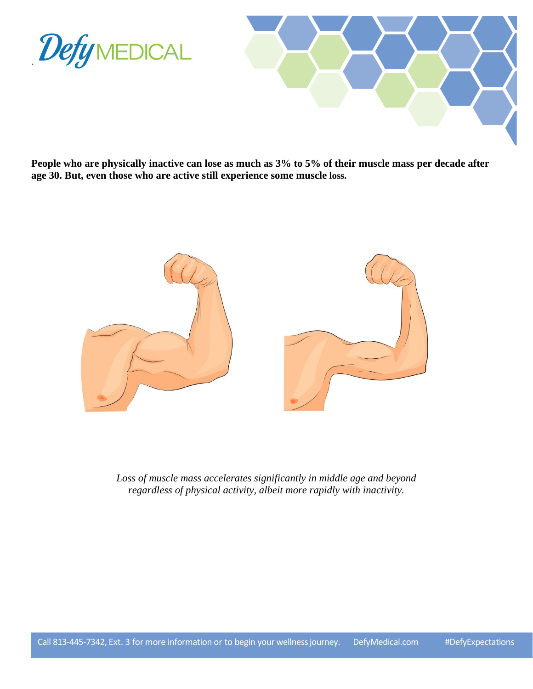



**People who are physically inactive can lose as much as 3% to 5% of their muscle mass per decade after age 30. But, even those who are active still experience some muscle loss.**



*Loss of muscle mass accelerates significantly in middle age and beyond regardless of physical activity, albeit more rapidly with inactivity.*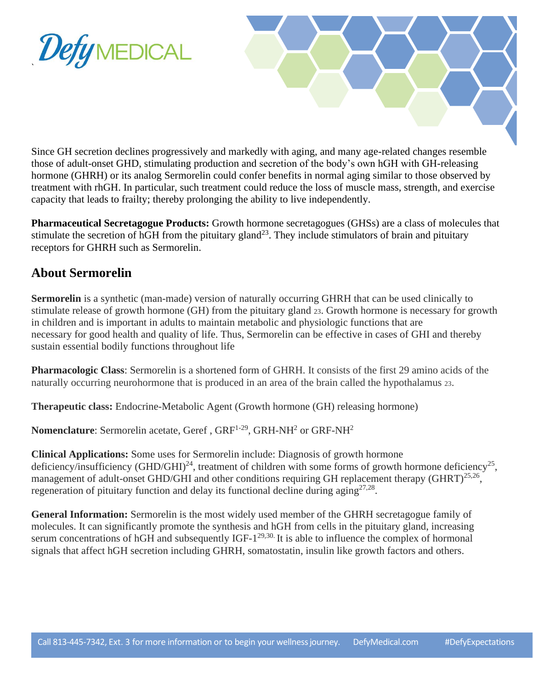



Since GH secretion declines progressively and markedly with aging, and many age-related changes resemble those of adult-onset GHD, stimulating production and secretion of the body's own hGH with GH-releasing hormone (GHRH) or its analog Sermorelin could confer benefits in normal aging similar to those observed by treatment with rhGH. In particular, such treatment could reduce the loss of muscle mass, strength, and exercise capacity that leads to frailty; thereby prolonging the ability to live independently.

**Pharmaceutical Secretagogue Products:** Growth hormone secretagogues (GHSs) are a class of molecules that stimulate the secretion of hGH from the pituitary gland<sup>23</sup>. They include stimulators of brain and pituitary receptors for GHRH such as Sermorelin.

# **About Sermorelin**

**Sermorelin** is a synthetic (man-made) version of naturally occurring GHRH that can be used clinically to stimulate release of growth hormone (GH) from the pituitary gland 23. Growth hormone is necessary for growth in children and is important in adults to maintain metabolic and physiologic functions that are necessary for good health and quality of life. Thus, Sermorelin can be effective in cases of GHI and thereby sustain essential bodily functions throughout life

**Pharmacologic Class**: Sermorelin is a shortened form of GHRH. It consists of the first 29 amino acids of the naturally occurring neurohormone that is produced in an area of the brain called the hypothalamus 23.

**Therapeutic class:** Endocrine-Metabolic Agent (Growth hormone (GH) releasing hormone)

**Nomenclature**: Sermorelin acetate, Geref, GRF<sup>1-29</sup>, GRH-NH<sup>2</sup> or GRF-NH<sup>2</sup>

**Clinical Applications:** Some uses for Sermorelin include: Diagnosis of growth hormone deficiency/insufficiency (GHD/GHI)<sup>24</sup>, treatment of children with some forms of growth hormone deficiency<sup>25</sup>, management of adult-onset GHD/GHI and other conditions requiring GH replacement therapy (GHRT)<sup>25,26</sup>, regeneration of pituitary function and delay its functional decline during  $\text{aging}^{27,28}$ .

**General Information:** Sermorelin is the most widely used member of the GHRH secretagogue family of molecules. It can significantly promote the synthesis and hGH from cells in the pituitary gland, increasing serum concentrations of hGH and subsequently  $IGF-1^{29,30}$ . It is able to influence the complex of hormonal signals that affect hGH secretion including GHRH, somatostatin, insulin like growth factors and others.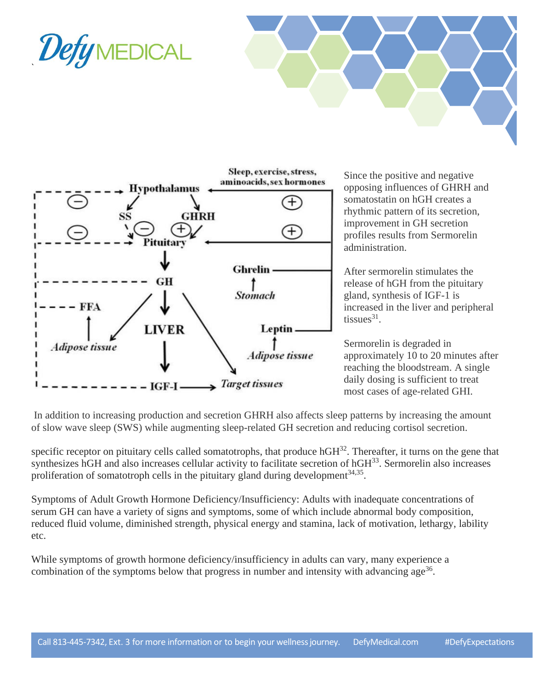





Since the positive and negative opposing influences of GHRH and somatostatin on hGH creates a rhythmic pattern of its secretion, improvement in GH secretion profiles results from Sermorelin administration.

After sermorelin stimulates the release of hGH from the pituitary gland, synthesis of IGF-1 is increased in the liver and peripheral tissues $31$ .

Sermorelin is degraded in approximately 10 to 20 minutes after reaching the bloodstream. A single daily dosing is sufficient to treat most cases of age-related GHI.

In addition to increasing production and secretion GHRH also affects sleep patterns by increasing the amount of slow wave sleep (SWS) while augmenting sleep-related GH secretion and reducing cortisol secretion.

specific receptor on pituitary cells called somatotrophs, that produce  $hGH^{32}$ . Thereafter, it turns on the gene that synthesizes hGH and also increases cellular activity to facilitate secretion of hGH<sup>33</sup>. Sermorelin also increases proliferation of somatotroph cells in the pituitary gland during development $34,35$ .

Symptoms of Adult Growth Hormone Deficiency/Insufficiency: Adults with inadequate concentrations of serum GH can have a variety of signs and symptoms, some of which include abnormal body composition, reduced fluid volume, diminished strength, physical energy and stamina, lack of motivation, lethargy, lability etc.

While symptoms of growth hormone deficiency/insufficiency in adults can vary, many experience a combination of the symptoms below that progress in number and intensity with advancing age<sup>36</sup>.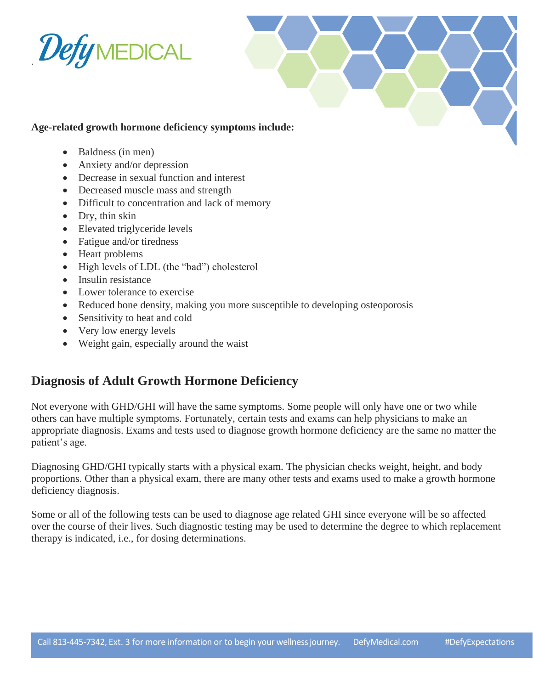



### **Age-related growth hormone deficiency symptoms include:**

- Baldness (in men)
- Anxiety and/or depression
- Decrease in sexual function and interest
- Decreased muscle mass and strength
- Difficult to concentration and lack of memory
- Dry, thin skin
- Elevated triglyceride levels
- Fatigue and/or tiredness
- Heart problems
- High levels of LDL (the "bad") cholesterol
- Insulin resistance
- Lower tolerance to exercise
- Reduced bone density, making you more susceptible to developing osteoporosis
- Sensitivity to heat and cold
- Very low energy levels
- Weight gain, especially around the waist

# **Diagnosis of Adult Growth Hormone Deficiency**

Not everyone with GHD/GHI will have the same symptoms. Some people will only have one or two while others can have multiple symptoms. Fortunately, certain tests and exams can help physicians to make an appropriate diagnosis. Exams and tests used to diagnose growth hormone deficiency are the same no matter the patient's age.

Diagnosing GHD/GHI typically starts with a physical exam. The physician checks weight, height, and body proportions. Other than a physical exam, there are many other tests and exams used to make a growth hormone deficiency diagnosis.

Some or all of the following tests can be used to diagnose age related GHI since everyone will be so affected over the course of their lives. Such diagnostic testing may be used to determine the degree to which replacement therapy is indicated, i.e., for dosing determinations.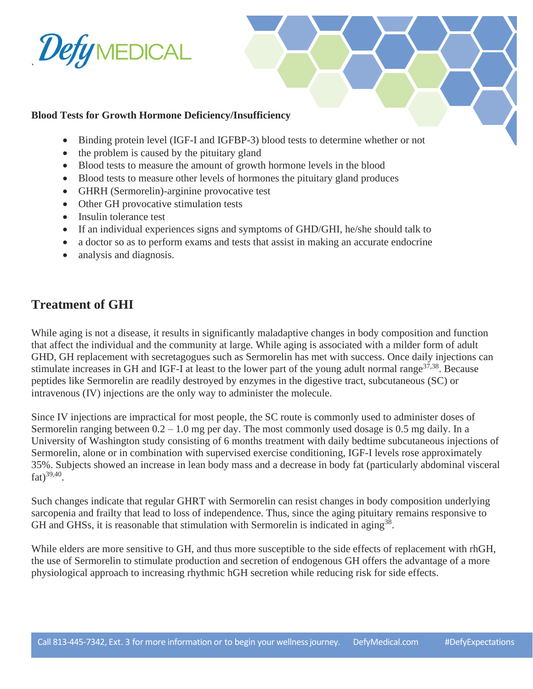

#### **Blood Tests for Growth Hormone Deficiency/Insufficiency**

- Binding protein level (IGF-I and IGFBP-3) blood tests to determine whether or not
- the problem is caused by the pituitary gland
- Blood tests to measure the amount of growth hormone levels in the blood
- Blood tests to measure other levels of hormones the pituitary gland produces
- GHRH (Sermorelin)-arginine provocative test
- Other GH provocative stimulation tests
- Insulin tolerance test
- If an individual experiences signs and symptoms of GHD/GHI, he/she should talk to
- a doctor so as to perform exams and tests that assist in making an accurate endocrine
- analysis and diagnosis.

### **Treatment of GHI**

While aging is not a disease, it results in significantly maladaptive changes in body composition and function that affect the individual and the community at large. While aging is associated with a milder form of adult GHD, GH replacement with secretagogues such as Sermorelin has met with success. Once daily injections can stimulate increases in GH and IGF-I at least to the lower part of the young adult normal range  $37,38$ . Because peptides like Sermorelin are readily destroyed by enzymes in the digestive tract, subcutaneous (SC) or intravenous (IV) injections are the only way to administer the molecule.

Since IV injections are impractical for most people, the SC route is commonly used to administer doses of Sermorelin ranging between  $0.2 - 1.0$  mg per day. The most commonly used dosage is 0.5 mg daily. In a University of Washington study consisting of 6 months treatment with daily bedtime subcutaneous injections of Sermorelin, alone or in combination with supervised exercise conditioning, IGF-I levels rose approximately 35%. Subjects showed an increase in lean body mass and a decrease in body fat (particularly abdominal visceral fat)<sup>39,40</sup>.

Such changes indicate that regular GHRT with Sermorelin can resist changes in body composition underlying sarcopenia and frailty that lead to loss of independence. Thus, since the aging pituitary remains responsive to GH and GHSs, it is reasonable that stimulation with Sermorelin is indicated in aging<sup>38</sup>.

While elders are more sensitive to GH, and thus more susceptible to the side effects of replacement with rhGH, the use of Sermorelin to stimulate production and secretion of endogenous GH offers the advantage of a more physiological approach to increasing rhythmic hGH secretion while reducing risk for side effects.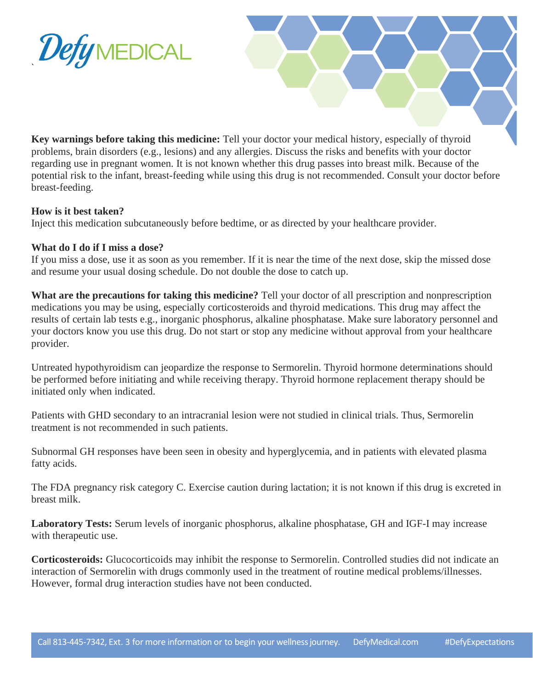

**Key warnings before taking this medicine:** Tell your doctor your medical history, especially of thyroid problems, brain disorders (e.g., lesions) and any allergies. Discuss the risks and benefits with your doctor regarding use in pregnant women. It is not known whether this drug passes into breast milk. Because of the potential risk to the infant, breast-feeding while using this drug is not recommended. Consult your doctor before breast-feeding.

#### **How is it best taken?**

Inject this medication subcutaneously before bedtime, or as directed by your healthcare provider.

#### **What do I do if I miss a dose?**

If you miss a dose, use it as soon as you remember. If it is near the time of the next dose, skip the missed dose and resume your usual dosing schedule. Do not double the dose to catch up.

**What are the precautions for taking this medicine?** Tell your doctor of all prescription and nonprescription medications you may be using, especially corticosteroids and thyroid medications. This drug may affect the results of certain lab tests e.g., inorganic phosphorus, alkaline phosphatase. Make sure laboratory personnel and your doctors know you use this drug. Do not start or stop any medicine without approval from your healthcare provider.

Untreated hypothyroidism can jeopardize the response to Sermorelin. Thyroid hormone determinations should be performed before initiating and while receiving therapy. Thyroid hormone replacement therapy should be initiated only when indicated.

Patients with GHD secondary to an intracranial lesion were not studied in clinical trials. Thus, Sermorelin treatment is not recommended in such patients.

Subnormal GH responses have been seen in obesity and hyperglycemia, and in patients with elevated plasma fatty acids.

The FDA pregnancy risk category C. Exercise caution during lactation; it is not known if this drug is excreted in breast milk.

**Laboratory Tests:** Serum levels of inorganic phosphorus, alkaline phosphatase, GH and IGF-I may increase with therapeutic use.

**Corticosteroids:** Glucocorticoids may inhibit the response to Sermorelin. Controlled studies did not indicate an interaction of Sermorelin with drugs commonly used in the treatment of routine medical problems/illnesses. However, formal drug interaction studies have not been conducted.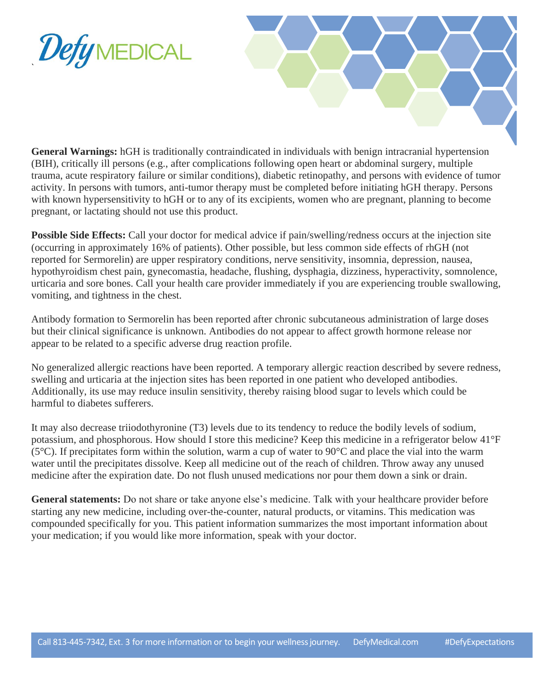



**General Warnings:** hGH is traditionally contraindicated in individuals with benign intracranial hypertension (BIH), critically ill persons (e.g., after complications following open heart or abdominal surgery, multiple trauma, acute respiratory failure or similar conditions), diabetic retinopathy, and persons with evidence of tumor activity. In persons with tumors, anti-tumor therapy must be completed before initiating hGH therapy. Persons with known hypersensitivity to hGH or to any of its excipients, women who are pregnant, planning to become pregnant, or lactating should not use this product.

**Possible Side Effects:** Call your doctor for medical advice if pain/swelling/redness occurs at the injection site (occurring in approximately 16% of patients). Other possible, but less common side effects of rhGH (not reported for Sermorelin) are upper respiratory conditions, nerve sensitivity, insomnia, depression, nausea, hypothyroidism chest pain, gynecomastia, headache, flushing, dysphagia, dizziness, hyperactivity, somnolence, urticaria and sore bones. Call your health care provider immediately if you are experiencing trouble swallowing, vomiting, and tightness in the chest.

Antibody formation to Sermorelin has been reported after chronic subcutaneous administration of large doses but their clinical significance is unknown. Antibodies do not appear to affect growth hormone release nor appear to be related to a specific adverse drug reaction profile.

No generalized allergic reactions have been reported. A temporary allergic reaction described by severe redness, swelling and urticaria at the injection sites has been reported in one patient who developed antibodies. Additionally, its use may reduce insulin sensitivity, thereby raising blood sugar to levels which could be harmful to diabetes sufferers.

It may also decrease triiodothyronine (T3) levels due to its tendency to reduce the bodily levels of sodium, potassium, and phosphorous. How should I store this medicine? Keep this medicine in a refrigerator below 41°F (5°C). If precipitates form within the solution, warm a cup of water to 90°C and place the vial into the warm water until the precipitates dissolve. Keep all medicine out of the reach of children. Throw away any unused medicine after the expiration date. Do not flush unused medications nor pour them down a sink or drain.

**General statements:** Do not share or take anyone else's medicine. Talk with your healthcare provider before starting any new medicine, including over-the-counter, natural products, or vitamins. This medication was compounded specifically for you. This patient information summarizes the most important information about your medication; if you would like more information, speak with your doctor.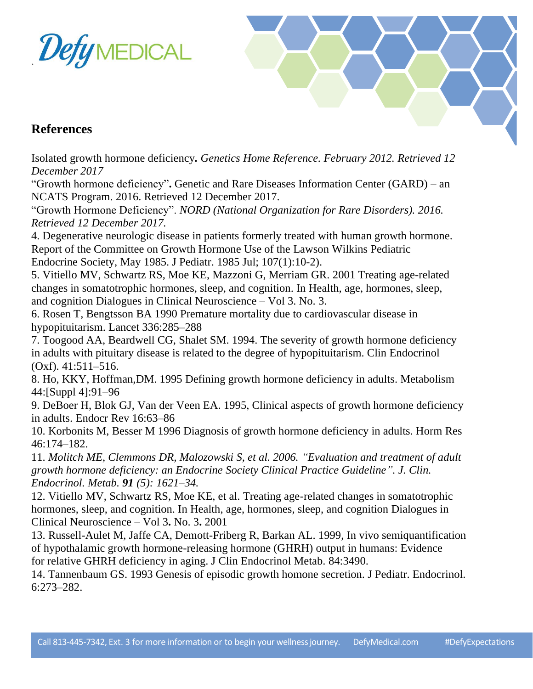



## **References**

Isolated growth hormone deficiency*. Genetics Home Reference. February 2012. Retrieved 12 December 2017*

"Growth hormone deficiency"**.** Genetic and Rare Diseases Information Center (GARD) – an NCATS Program. 2016. Retrieved 12 December 2017.

"Growth Hormone Deficiency". *NORD (National Organization for Rare Disorders). 2016. Retrieved 12 December 2017.*

4. Degenerative neurologic disease in patients formerly treated with human growth hormone. Report of the Committee on Growth Hormone Use of the Lawson Wilkins Pediatric Endocrine Society, May 1985. J Pediatr. 1985 Jul; 107(1):10-2).

5. Vitiello MV, Schwartz RS, Moe KE, Mazzoni G, Merriam GR. 2001 Treating age-related changes in somatotrophic hormones, sleep, and cognition. In Health, age, hormones, sleep, and cognition Dialogues in Clinical Neuroscience – Vol 3. No. 3.

6. Rosen T, Bengtsson BA 1990 Premature mortality due to cardiovascular disease in hypopituitarism. Lancet 336:285–288

7. Toogood AA, Beardwell CG, Shalet SM. 1994. The severity of growth hormone deficiency in adults with pituitary disease is related to the degree of hypopituitarism. Clin Endocrinol (Oxf). 41:511–516.

8. Ho, KKY, Hoffman,DM. 1995 Defining growth hormone deficiency in adults. Metabolism 44:[Suppl 4]:91–96

9. DeBoer H, Blok GJ, Van der Veen EA. 1995, Clinical aspects of growth hormone deficiency in adults. Endocr Rev 16:63–86

10. Korbonits M, Besser M 1996 Diagnosis of growth hormone deficiency in adults. Horm Res 46:174–182.

11. *Molitch ME, Clemmons DR, Malozowski S, et al. 2006. "Evaluation and treatment of adult growth hormone deficiency: an Endocrine Society Clinical Practice Guideline". J. Clin. Endocrinol. Metab. 91 (5): 1621–34.*

12. Vitiello MV, Schwartz RS, Moe KE, et al. Treating age-related changes in somatotrophic hormones, sleep, and cognition. In Health, age, hormones, sleep, and cognition Dialogues in Clinical Neuroscience – Vol 3**.** No. 3**.** 2001

13. Russell-Aulet M, Jaffe CA, Demott-Friberg R, Barkan AL. 1999, In vivo semiquantification of hypothalamic growth hormone-releasing hormone (GHRH) output in humans: Evidence for relative GHRH deficiency in aging. J Clin Endocrinol Metab. 84:3490.

14. Tannenbaum GS. 1993 Genesis of episodic growth homone secretion. J Pediatr. Endocrinol. 6:273–282.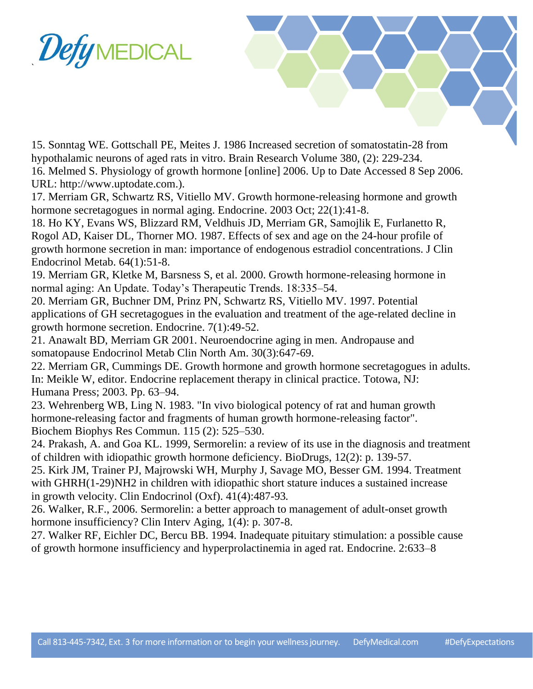

15. Sonntag WE. Gottschall PE, Meites J. 1986 Increased secretion of somatostatin-28 from hypothalamic neurons of aged rats in vitro. Brain Research Volume 380, (2): 229-234.

16. Melmed S. Physiology of growth hormone [online] 2006. Up to Date Accessed 8 Sep 2006. URL: http://www.uptodate.com.).

17. Merriam GR, Schwartz RS, Vitiello MV. Growth hormone-releasing hormone and growth hormone secretagogues in normal aging. Endocrine. 2003 Oct; 22(1):41-8.

18. Ho KY, Evans WS, Blizzard RM, Veldhuis JD, Merriam GR, Samojlik E, Furlanetto R, Rogol AD, Kaiser DL, Thorner MO. 1987. Effects of sex and age on the 24-hour profile of growth hormone secretion in man: importance of endogenous estradiol concentrations. J Clin Endocrinol Metab. 64(1):51-8.

19. Merriam GR, Kletke M, Barsness S, et al. 2000. Growth hormone-releasing hormone in normal aging: An Update. Today's Therapeutic Trends. 18:335–54.

20. Merriam GR, Buchner DM, Prinz PN, Schwartz RS, Vitiello MV. 1997. Potential applications of GH secretagogues in the evaluation and treatment of the age-related decline in growth hormone secretion. Endocrine. 7(1):49-52.

21. Anawalt BD, Merriam GR 2001. Neuroendocrine aging in men. Andropause and somatopause Endocrinol Metab Clin North Am. 30(3):647-69.

22. Merriam GR, Cummings DE. Growth hormone and growth hormone secretagogues in adults. In: Meikle W, editor. Endocrine replacement therapy in clinical practice. Totowa, NJ: Humana Press; 2003. Pp. 63–94.

23. Wehrenberg WB, Ling N. 1983. "In vivo biological potency of rat and human growth hormone-releasing factor and fragments of human growth hormone-releasing factor". Biochem Biophys Res Commun. 115 (2): 525–530.

24. Prakash, A. and Goa KL. 1999, Sermorelin: a review of its use in the diagnosis and treatment of children with idiopathic growth hormone deficiency. BioDrugs, 12(2): p. 139-57.

25. Kirk JM, Trainer PJ, Majrowski WH, Murphy J, Savage MO, Besser GM*.* 1994. Treatment with GHRH(1-29)NH2 in children with idiopathic short stature induces a sustained increase in growth velocity. Clin Endocrinol (Oxf). 41(4):487-93*.*

26. Walker, R.F., 2006. Sermorelin: a better approach to management of adult-onset growth hormone insufficiency? Clin Interv Aging, 1(4): p. 307-8.

27. Walker RF, Eichler DC, Bercu BB. 1994. Inadequate pituitary stimulation: a possible cause of growth hormone insufficiency and hyperprolactinemia in aged rat. Endocrine. 2:633–8